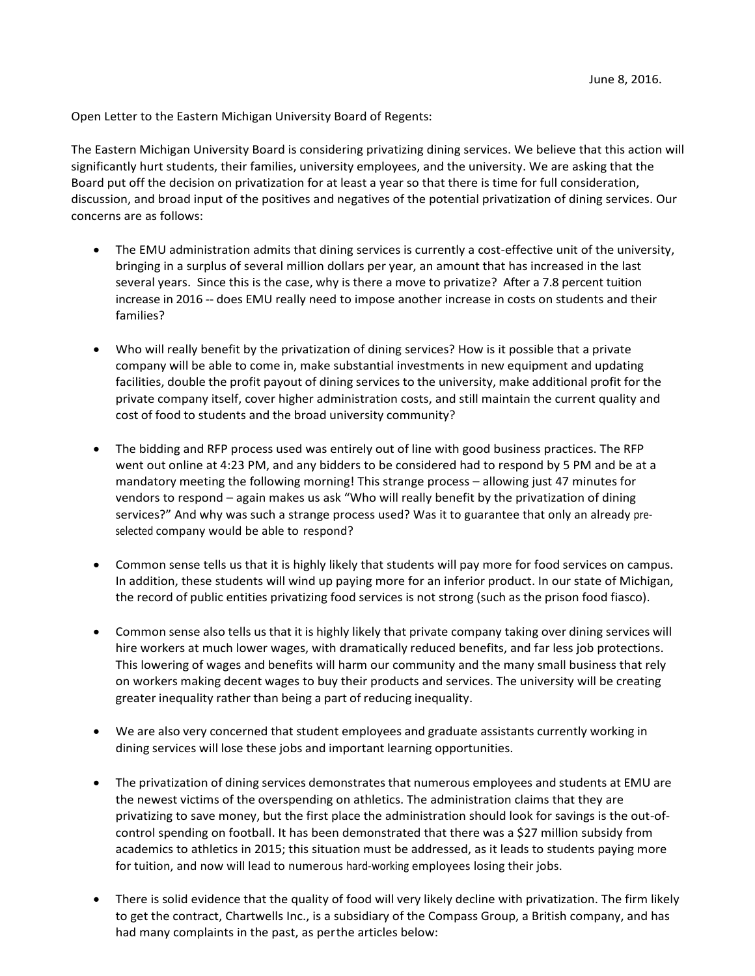Open Letter to the Eastern Michigan University Board of Regents:

The Eastern Michigan University Board is considering privatizing dining services. We believe that this action will significantly hurt students, their families, university employees, and the university. We are asking that the Board put off the decision on privatization for at least a year so that there is time for full consideration, discussion, and broad input of the positives and negatives of the potential privatization of dining services. Our concerns are as follows:

- The EMU administration admits that dining services is currently a cost-effective unit of the university, bringing in a surplus of several million dollars per year, an amount that has increased in the last several years. Since this is the case, why is there a move to privatize? After a 7.8 percent tuition increase in 2016 -- does EMU really need to impose another increase in costs on students and their families?
- Who will really benefit by the privatization of dining services? How is it possible that a private company will be able to come in, make substantial investments in new equipment and updating facilities, double the profit payout of dining services to the university, make additional profit for the private company itself, cover higher administration costs, and still maintain the current quality and cost of food to students and the broad university community?
- The bidding and RFP process used was entirely out of line with good business practices. The RFP went out online at 4:23 PM, and any bidders to be considered had to respond by 5 PM and be at a mandatory meeting the following morning! This strange process – allowing just 47 minutes for vendors to respond – again makes us ask "Who will really benefit by the privatization of dining services?" And why was such a strange process used? Was it to guarantee that only an already preselected company would be able to respond?
- Common sense tells us that it is highly likely that students will pay more for food services on campus. In addition, these students will wind up paying more for an inferior product. In our state of Michigan, the record of public entities privatizing food services is not strong (such as the prison food fiasco).
- Common sense also tells us that it is highly likely that private company taking over dining services will hire workers at much lower wages, with dramatically reduced benefits, and far less job protections. This lowering of wages and benefits will harm our community and the many small business that rely on workers making decent wages to buy their products and services. The university will be creating greater inequality rather than being a part of reducing inequality.
- We are also very concerned that student employees and graduate assistants currently working in dining services will lose these jobs and important learning opportunities.
- The privatization of dining services demonstrates that numerous employees and students at EMU are the newest victims of the overspending on athletics. The administration claims that they are privatizing to save money, but the first place the administration should look for savings is the out-ofcontrol spending on football. It has been demonstrated that there was a \$27 million subsidy from academics to athletics in 2015; this situation must be addressed, as it leads to students paying more for tuition, and now will lead to numerous hard-working employees losing their jobs.
- There is solid evidence that the quality of food will very likely decline with privatization. The firm likely to get the contract, Chartwells Inc., is a subsidiary of the Compass Group, a British company, and has had many complaints in the past, as perthe articles below: